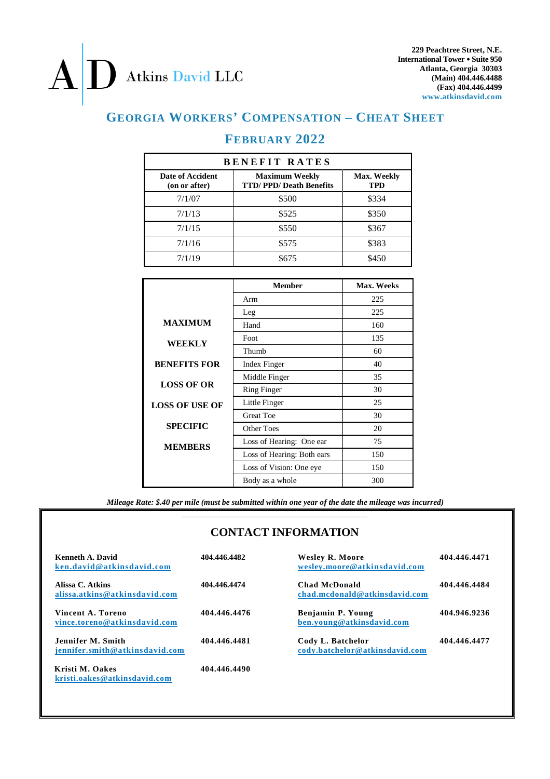# Atkins David LLC

 $\bf{A}$ 

**229 Peachtree Street, N.E. International Tower Suite 950 Atlanta, Georgia 30303 (Main) 404.446.4488 (Fax) 404.446.4499 www.atkinsdavid.com**

# **GEORGIA WORKERS' COMPENSATION – CHEAT SHEET**

# **FEBRUARY 2022**

| <b>BENEFIT RATES</b>              |                                                        |                           |  |  |
|-----------------------------------|--------------------------------------------------------|---------------------------|--|--|
| Date of Accident<br>(on or after) | <b>Maximum Weekly</b><br><b>TTD/PPD/Death Benefits</b> | <b>Max. Weekly</b><br>TPD |  |  |
| 7/1/07                            | \$500                                                  | \$334                     |  |  |
| 7/1/13                            | \$525                                                  | \$350                     |  |  |
| 7/1/15                            | \$550                                                  | \$367                     |  |  |
| 7/1/16                            | \$575                                                  | \$383                     |  |  |
| 7/1/19                            | \$675                                                  | \$450                     |  |  |

|                       | <b>Member</b>              | Max. Weeks |  |
|-----------------------|----------------------------|------------|--|
|                       | Arm                        | 225        |  |
|                       | Leg                        | 225        |  |
| <b>MAXIMUM</b>        | Hand                       | 160        |  |
| <b>WEEKLY</b>         | Foot                       | 135        |  |
|                       | Thumb                      | 60         |  |
| <b>BENEFITS FOR</b>   | Index Finger               | 40         |  |
| <b>LOSS OF OR</b>     | Middle Finger              | 35         |  |
|                       | <b>Ring Finger</b>         | 30         |  |
| <b>LOSS OF USE OF</b> | Little Finger              | 25         |  |
|                       | <b>Great Toe</b>           | 30         |  |
| <b>SPECIFIC</b>       | Other Toes                 | 20         |  |
| <b>MEMBERS</b>        | Loss of Hearing: One ear   | 75         |  |
|                       | Loss of Hearing: Both ears | 150        |  |
|                       | Loss of Vision: One eye    | 150        |  |
|                       | Body as a whole            | 300        |  |

*Mileage Rate: \$.40 per mile (must be submitted within one year of the date the mileage was incurred)*

# **CONTACT INFORMATION**

| Kenneth A. David<br>ken.david@atkinsdavid.com       | 404.446.4482 | <b>Wesley R. Moore</b><br>wesley.moore@atkinsdavid.com | 404.446.4471 |
|-----------------------------------------------------|--------------|--------------------------------------------------------|--------------|
| Alissa C. Atkins<br>alissa.atkins@atkinsdavid.com   | 404.446.4474 | <b>Chad McDonald</b><br>chad.mcdonald@atkinsdavid.com  | 404.446.4484 |
| Vincent A. Toreno<br>vince.toreno@atkinsdavid.com   | 404.446.4476 | Benjamin P. Young<br>ben.young@atkinsdavid.com         | 404.946.9236 |
| Jennifer M. Smith<br>iennifer.smith@atkinsdavid.com | 404.446.4481 | Cody L. Batchelor<br>cody.batchelor@atkinsdavid.com    | 404.446.4477 |
| Kristi M. Oakes<br>kristi.oakes@atkinsdavid.com     | 404.446.4490 |                                                        |              |